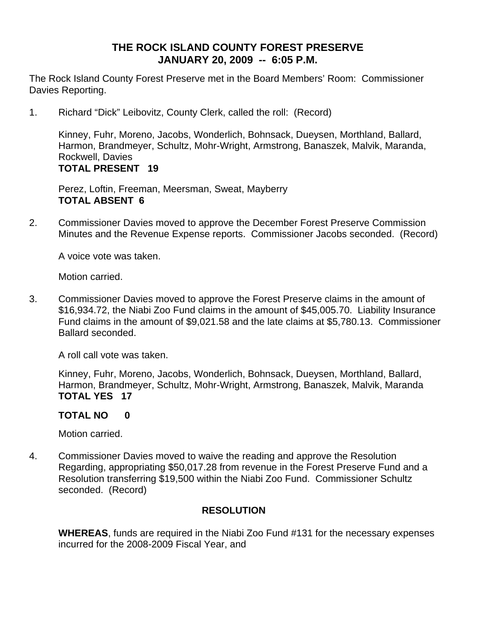## **THE ROCK ISLAND COUNTY FOREST PRESERVE JANUARY 20, 2009 -- 6:05 P.M.**

The Rock Island County Forest Preserve met in the Board Members' Room: Commissioner Davies Reporting.

1. Richard "Dick" Leibovitz, County Clerk, called the roll: (Record)

Kinney, Fuhr, Moreno, Jacobs, Wonderlich, Bohnsack, Dueysen, Morthland, Ballard, Harmon, Brandmeyer, Schultz, Mohr-Wright, Armstrong, Banaszek, Malvik, Maranda, Rockwell, Davies **TOTAL PRESENT 19** 

Perez, Loftin, Freeman, Meersman, Sweat, Mayberry **TOTAL ABSENT 6** 

2. Commissioner Davies moved to approve the December Forest Preserve Commission Minutes and the Revenue Expense reports. Commissioner Jacobs seconded. (Record)

A voice vote was taken.

Motion carried.

3. Commissioner Davies moved to approve the Forest Preserve claims in the amount of \$16,934.72, the Niabi Zoo Fund claims in the amount of \$45,005.70. Liability Insurance Fund claims in the amount of \$9,021.58 and the late claims at \$5,780.13. Commissioner Ballard seconded.

A roll call vote was taken.

Kinney, Fuhr, Moreno, Jacobs, Wonderlich, Bohnsack, Dueysen, Morthland, Ballard, Harmon, Brandmeyer, Schultz, Mohr-Wright, Armstrong, Banaszek, Malvik, Maranda **TOTAL YES 17** 

**TOTAL NO 0** 

Motion carried.

4. Commissioner Davies moved to waive the reading and approve the Resolution Regarding, appropriating \$50,017.28 from revenue in the Forest Preserve Fund and a Resolution transferring \$19,500 within the Niabi Zoo Fund. Commissioner Schultz seconded. (Record)

#### **RESOLUTION**

**WHEREAS**, funds are required in the Niabi Zoo Fund #131 for the necessary expenses incurred for the 2008-2009 Fiscal Year, and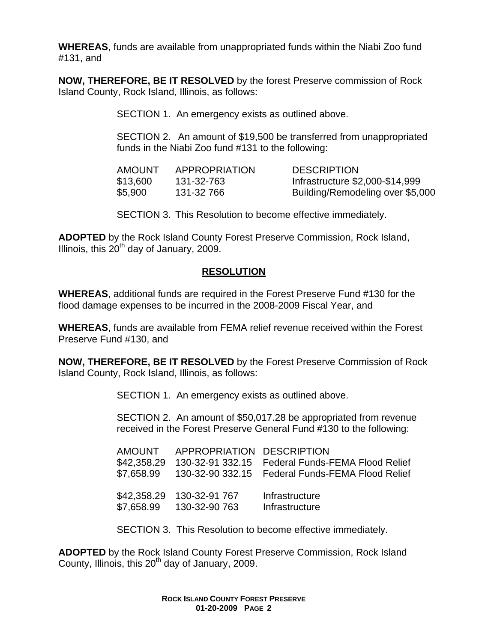**WHEREAS**, funds are available from unappropriated funds within the Niabi Zoo fund #131, and

**NOW, THEREFORE, BE IT RESOLVED** by the forest Preserve commission of Rock Island County, Rock Island, Illinois, as follows:

SECTION 1. An emergency exists as outlined above.

SECTION 2. An amount of \$19,500 be transferred from unappropriated funds in the Niabi Zoo fund #131 to the following:

| AMOUNT   | APPROPRIATION | <b>DESCRIPTION</b>               |
|----------|---------------|----------------------------------|
| \$13,600 | 131-32-763    | Infrastructure \$2,000-\$14,999  |
| \$5,900  | 131-32 766    | Building/Remodeling over \$5,000 |

SECTION 3. This Resolution to become effective immediately.

**ADOPTED** by the Rock Island County Forest Preserve Commission, Rock Island, Illinois, this  $20^{th}$  day of January, 2009.

#### **RESOLUTION**

**WHEREAS**, additional funds are required in the Forest Preserve Fund #130 for the flood damage expenses to be incurred in the 2008-2009 Fiscal Year, and

**WHEREAS**, funds are available from FEMA relief revenue received within the Forest Preserve Fund #130, and

**NOW, THEREFORE, BE IT RESOLVED** by the Forest Preserve Commission of Rock Island County, Rock Island, Illinois, as follows:

SECTION 1. An emergency exists as outlined above.

SECTION 2. An amount of \$50,017.28 be appropriated from revenue received in the Forest Preserve General Fund #130 to the following:

|  | AMOUNT APPROPRIATION DESCRIPTION                      | \$42,358.29 130-32-91 332.15 Federal Funds-FEMA Flood Relief<br>\$7,658.99 130-32-90 332.15 Federal Funds-FEMA Flood Relief |
|--|-------------------------------------------------------|-----------------------------------------------------------------------------------------------------------------------------|
|  | \$42,358.29 130-32-91 767<br>\$7.658.99 130-32-90 763 | Infrastructure<br>Infrastructure                                                                                            |

SECTION 3. This Resolution to become effective immediately.

**ADOPTED** by the Rock Island County Forest Preserve Commission, Rock Island County, Illinois, this  $20<sup>th</sup>$  day of January, 2009.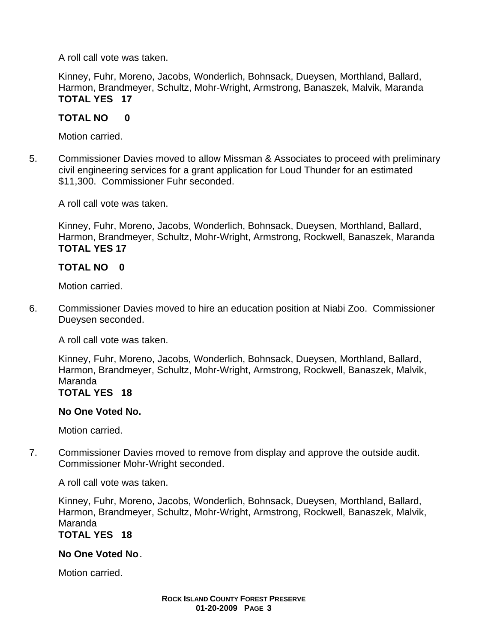A roll call vote was taken.

Kinney, Fuhr, Moreno, Jacobs, Wonderlich, Bohnsack, Dueysen, Morthland, Ballard, Harmon, Brandmeyer, Schultz, Mohr-Wright, Armstrong, Banaszek, Malvik, Maranda **TOTAL YES 17** 

## **TOTAL NO 0**

Motion carried.

5. Commissioner Davies moved to allow Missman & Associates to proceed with preliminary civil engineering services for a grant application for Loud Thunder for an estimated \$11,300. Commissioner Fuhr seconded.

A roll call vote was taken.

Kinney, Fuhr, Moreno, Jacobs, Wonderlich, Bohnsack, Dueysen, Morthland, Ballard, Harmon, Brandmeyer, Schultz, Mohr-Wright, Armstrong, Rockwell, Banaszek, Maranda **TOTAL YES 17**

## **TOTAL NO 0**

Motion carried.

6. Commissioner Davies moved to hire an education position at Niabi Zoo. Commissioner Dueysen seconded.

A roll call vote was taken.

Kinney, Fuhr, Moreno, Jacobs, Wonderlich, Bohnsack, Dueysen, Morthland, Ballard, Harmon, Brandmeyer, Schultz, Mohr-Wright, Armstrong, Rockwell, Banaszek, Malvik, Maranda **TOTAL YES 18** 

#### **No One Voted No.**

Motion carried.

7. Commissioner Davies moved to remove from display and approve the outside audit. Commissioner Mohr-Wright seconded.

A roll call vote was taken.

Kinney, Fuhr, Moreno, Jacobs, Wonderlich, Bohnsack, Dueysen, Morthland, Ballard, Harmon, Brandmeyer, Schultz, Mohr-Wright, Armstrong, Rockwell, Banaszek, Malvik, Maranda

# **TOTAL YES 18**

## **No One Voted No.**

Motion carried.